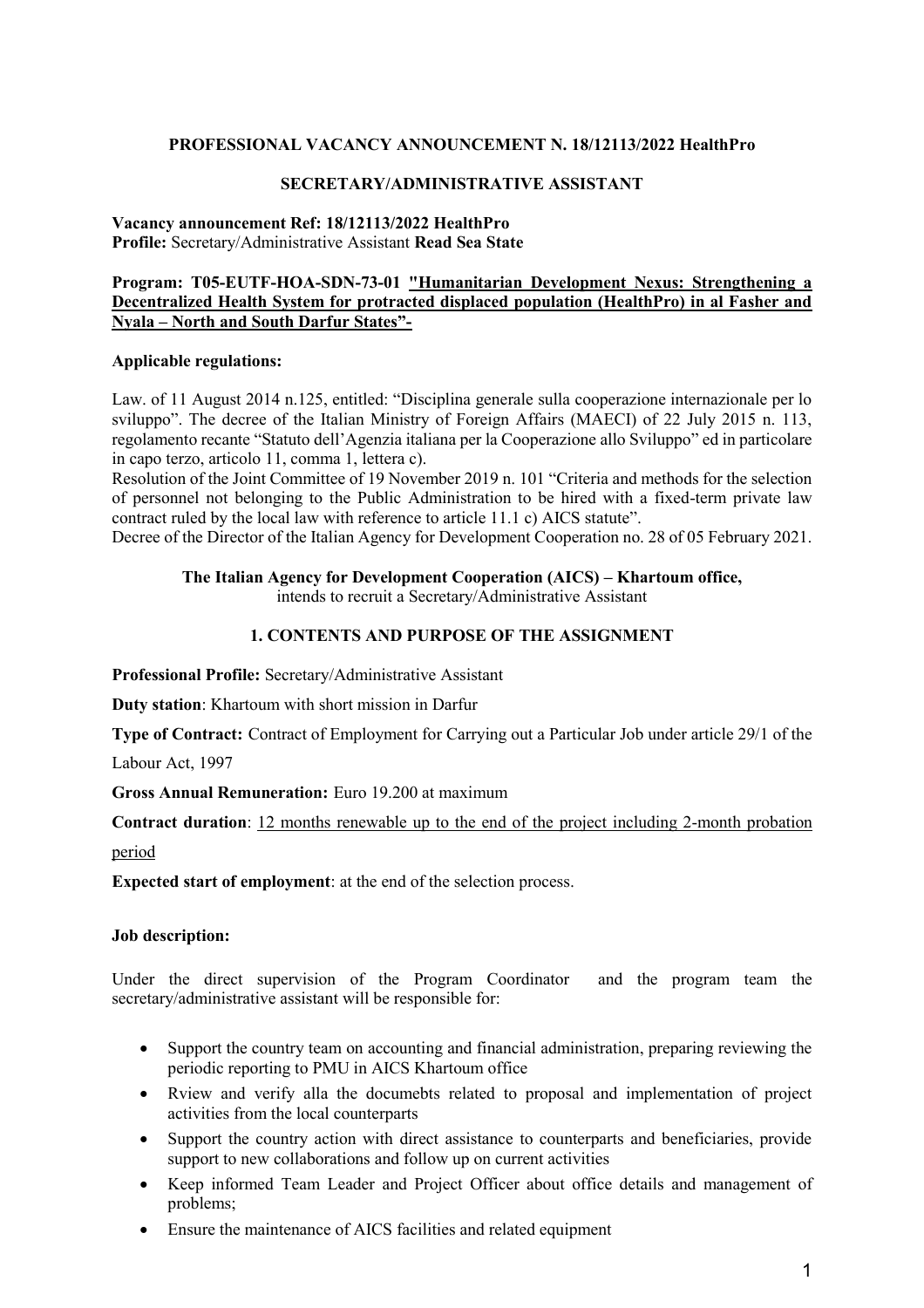### **PROFESSIONAL VACANCY ANNOUNCEMENT N. 18/12113/2022 HealthPro**

#### **SECRETARY/ADMINISTRATIVE ASSISTANT**

#### **Vacancy announcement Ref: 18/12113/2022 HealthPro Profile:** Secretary/Administrative Assistant **Read Sea State**

### **Program: T05-EUTF-HOA-SDN-73-01 "Humanitarian Development Nexus: Strengthening a Decentralized Health System for protracted displaced population (HealthPro) in al Fasher and Nyala – North and South Darfur States"-**

#### **Applicable regulations:**

Law. of 11 August 2014 n.125, entitled: "Disciplina generale sulla cooperazione internazionale per lo sviluppo". The decree of the Italian Ministry of Foreign Affairs (MAECI) of 22 July 2015 n. 113, regolamento recante "Statuto dell'Agenzia italiana per la Cooperazione allo Sviluppo" ed in particolare in capo terzo, articolo 11, comma 1, lettera c).

Resolution of the Joint Committee of 19 November 2019 n. 101 "Criteria and methods for the selection of personnel not belonging to the Public Administration to be hired with a fixed-term private law contract ruled by the local law with reference to article 11.1 c) AICS statute".

Decree of the Director of the Italian Agency for Development Cooperation no. 28 of 05 February 2021.

#### **The Italian Agency for Development Cooperation (AICS) – Khartoum office,**

intends to recruit a Secretary/Administrative Assistant

#### **1. CONTENTS AND PURPOSE OF THE ASSIGNMENT**

**Professional Profile:** Secretary/Administrative Assistant

**Duty station**: Khartoum with short mission in Darfur

**Type of Contract:** Contract of Employment for Carrying out a Particular Job under article 29/1 of the

Labour Act, 1997

**Gross Annual Remuneration:** Euro 19.200 at maximum

**Contract duration**: 12 months renewable up to the end of the project including 2-month probation period

**Expected start of employment**: at the end of the selection process.

#### **Job description:**

Under the direct supervision of the Program Coordinator and the program team the secretary/administrative assistant will be responsible for:

- Support the country team on accounting and financial administration, preparing reviewing the periodic reporting to PMU in AICS Khartoum office
- Rview and verify alla the documebts related to proposal and implementation of project activities from the local counterparts
- Support the country action with direct assistance to counterparts and beneficiaries, provide support to new collaborations and follow up on current activities
- Keep informed Team Leader and Project Officer about office details and management of problems;
- Ensure the maintenance of AICS facilities and related equipment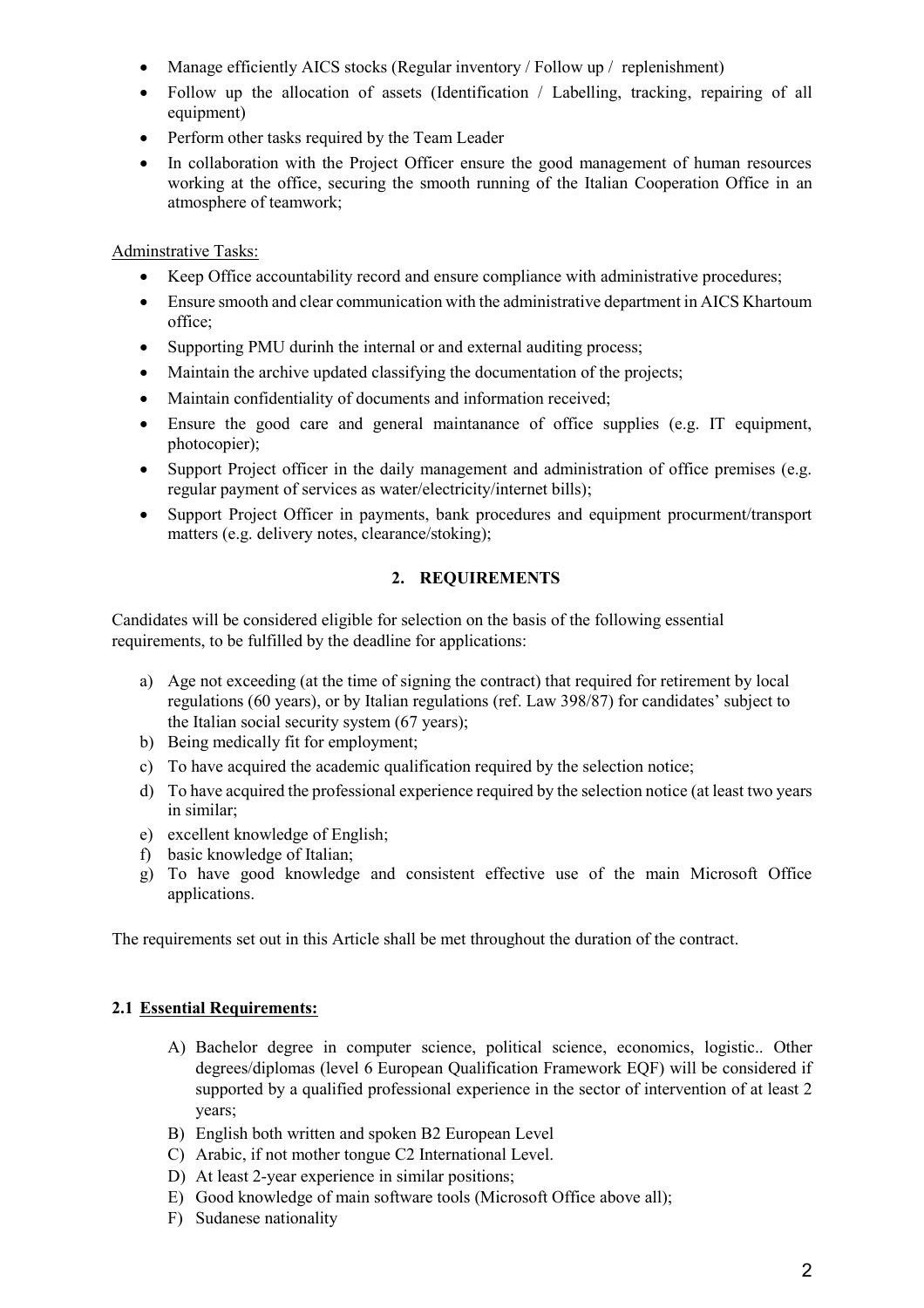- Manage efficiently AICS stocks (Regular inventory / Follow up / replenishment)
- Follow up the allocation of assets (Identification / Labelling, tracking, repairing of all equipment)
- Perform other tasks required by the Team Leader
- In collaboration with the Project Officer ensure the good management of human resources working at the office, securing the smooth running of the Italian Cooperation Office in an atmosphere of teamwork;

# Adminstrative Tasks:

- Keep Office accountability record and ensure compliance with administrative procedures;
- Ensure smooth and clear communication with the administrative department in AICS Khartoum office;
- Supporting PMU durinh the internal or and external auditing process;
- Maintain the archive updated classifying the documentation of the projects;
- Maintain confidentiality of documents and information received;
- Ensure the good care and general maintanance of office supplies (e.g. IT equipment, photocopier);
- Support Project officer in the daily management and administration of office premises (e.g. regular payment of services as water/electricity/internet bills);
- Support Project Officer in payments, bank procedures and equipment procurment/transport matters (e.g. delivery notes, clearance/stoking);

# **2. REQUIREMENTS**

Candidates will be considered eligible for selection on the basis of the following essential requirements, to be fulfilled by the deadline for applications:

- a) Age not exceeding (at the time of signing the contract) that required for retirement by local regulations (60 years), or by Italian regulations (ref. Law 398/87) for candidates' subject to the Italian social security system (67 years);
- b) Being medically fit for employment;
- c) To have acquired the academic qualification required by the selection notice;
- d) To have acquired the professional experience required by the selection notice (at least two years in similar;
- e) excellent knowledge of English;
- f) basic knowledge of Italian;
- g) To have good knowledge and consistent effective use of the main Microsoft Office applications.

The requirements set out in this Article shall be met throughout the duration of the contract.

# **2.1 Essential Requirements:**

- A) Bachelor degree in computer science, political science, economics, logistic.. Other degrees/diplomas (level 6 European Qualification Framework EQF) will be considered if supported by a qualified professional experience in the sector of intervention of at least 2 years;
- B) English both written and spoken B2 European Level
- C) Arabic, if not mother tongue C2 International Level.
- D) At least 2-year experience in similar positions;
- E) Good knowledge of main software tools (Microsoft Office above all);
- F) Sudanese nationality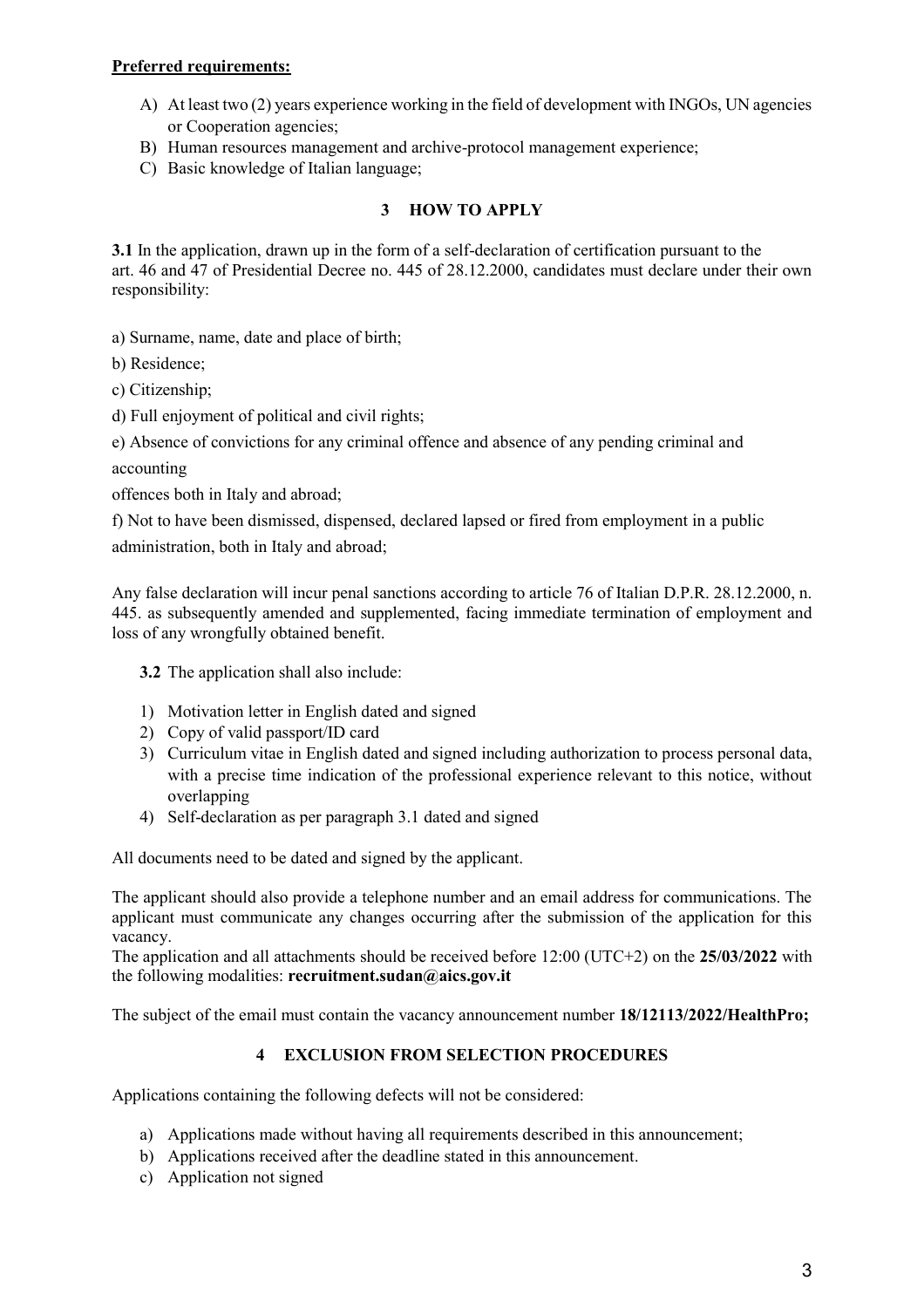# **Preferred requirements:**

- A) At least two (2) years experience working in the field of development with INGOs, UN agencies or Cooperation agencies;
- B) Human resources management and archive-protocol management experience;
- C) Basic knowledge of Italian language;

# **3 HOW TO APPLY**

**3.1** In the application, drawn up in the form of a self-declaration of certification pursuant to the art. 46 and 47 of Presidential Decree no. 445 of 28.12.2000, candidates must declare under their own responsibility:

a) Surname, name, date and place of birth;

b) Residence;

c) Citizenship;

d) Full enjoyment of political and civil rights;

e) Absence of convictions for any criminal offence and absence of any pending criminal and

accounting

offences both in Italy and abroad;

f) Not to have been dismissed, dispensed, declared lapsed or fired from employment in a public administration, both in Italy and abroad;

Any false declaration will incur penal sanctions according to article 76 of Italian D.P.R. 28.12.2000, n. 445. as subsequently amended and supplemented, facing immediate termination of employment and loss of any wrongfully obtained benefit.

**3.2** The application shall also include:

- 1) Motivation letter in English dated and signed
- 2) Copy of valid passport/ID card
- 3) Curriculum vitae in English dated and signed including authorization to process personal data, with a precise time indication of the professional experience relevant to this notice, without overlapping
- 4) Self-declaration as per paragraph 3.1 dated and signed

All documents need to be dated and signed by the applicant.

The applicant should also provide a telephone number and an email address for communications. The applicant must communicate any changes occurring after the submission of the application for this vacancy.

The application and all attachments should be received before 12:00 (UTC+2) on the **25/03/2022** with the following modalities: **recruitment.sudan@aics.gov.it**

The subject of the email must contain the vacancy announcement number **18/12113/2022/HealthPro;**

# **4 EXCLUSION FROM SELECTION PROCEDURES**

Applications containing the following defects will not be considered:

- a) Applications made without having all requirements described in this announcement;
- b) Applications received after the deadline stated in this announcement.
- c) Application not signed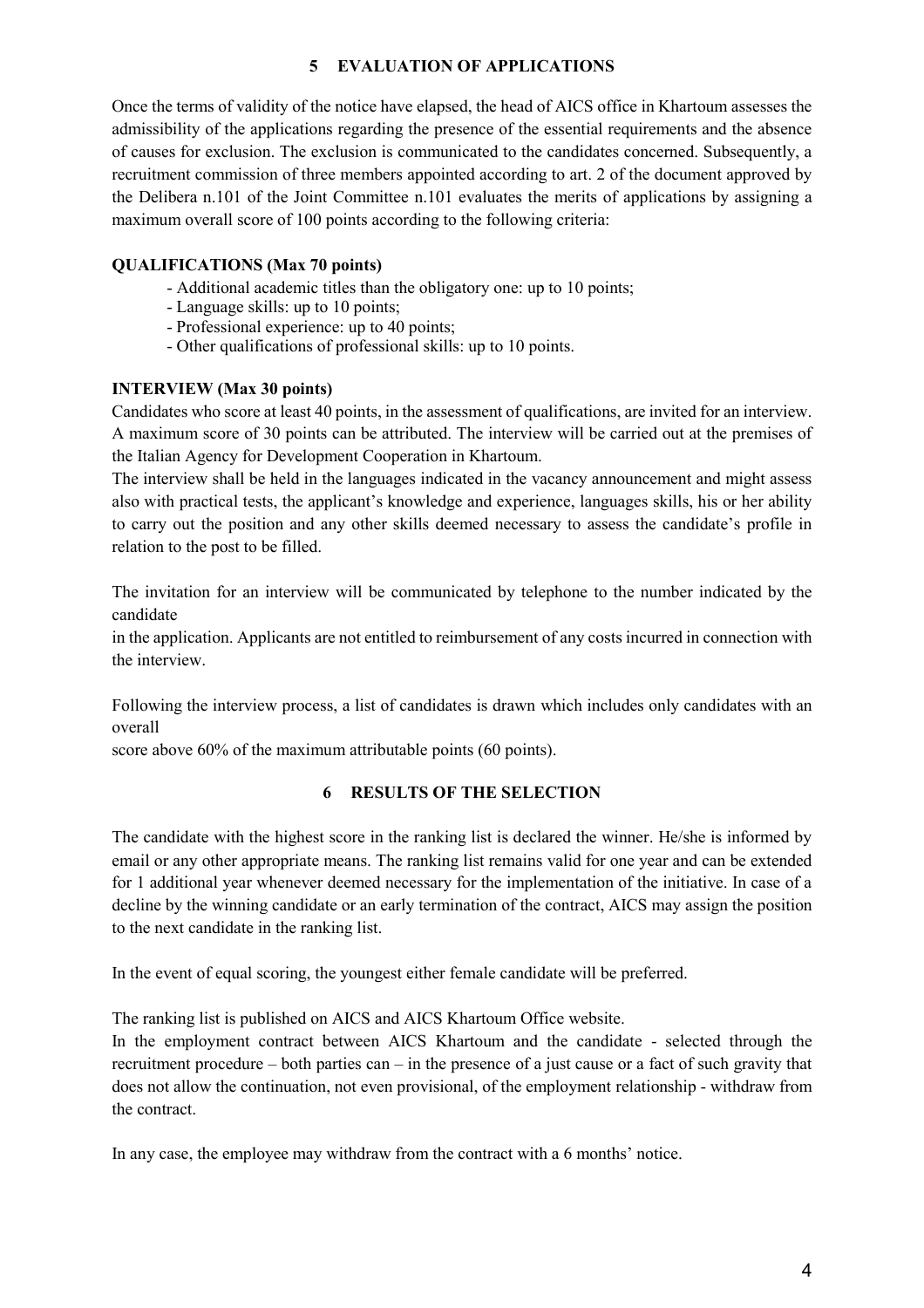# **5 EVALUATION OF APPLICATIONS**

Once the terms of validity of the notice have elapsed, the head of AICS office in Khartoum assesses the admissibility of the applications regarding the presence of the essential requirements and the absence of causes for exclusion. The exclusion is communicated to the candidates concerned. Subsequently, a recruitment commission of three members appointed according to art. 2 of the document approved by the Delibera n.101 of the Joint Committee n.101 evaluates the merits of applications by assigning a maximum overall score of 100 points according to the following criteria:

# **QUALIFICATIONS (Max 70 points)**

- Additional academic titles than the obligatory one: up to 10 points;
- Language skills: up to 10 points;
- Professional experience: up to 40 points;
- Other qualifications of professional skills: up to 10 points.

### **INTERVIEW (Max 30 points)**

Candidates who score at least 40 points, in the assessment of qualifications, are invited for an interview. A maximum score of 30 points can be attributed. The interview will be carried out at the premises of the Italian Agency for Development Cooperation in Khartoum.

The interview shall be held in the languages indicated in the vacancy announcement and might assess also with practical tests, the applicant's knowledge and experience, languages skills, his or her ability to carry out the position and any other skills deemed necessary to assess the candidate's profile in relation to the post to be filled.

The invitation for an interview will be communicated by telephone to the number indicated by the candidate

in the application. Applicants are not entitled to reimbursement of any costs incurred in connection with the interview.

Following the interview process, a list of candidates is drawn which includes only candidates with an overall

score above 60% of the maximum attributable points (60 points).

#### **6 RESULTS OF THE SELECTION**

The candidate with the highest score in the ranking list is declared the winner. He/she is informed by email or any other appropriate means. The ranking list remains valid for one year and can be extended for 1 additional year whenever deemed necessary for the implementation of the initiative. In case of a decline by the winning candidate or an early termination of the contract, AICS may assign the position to the next candidate in the ranking list.

In the event of equal scoring, the youngest either female candidate will be preferred.

The ranking list is published on AICS and AICS Khartoum Office website.

In the employment contract between AICS Khartoum and the candidate - selected through the recruitment procedure – both parties can – in the presence of a just cause or a fact of such gravity that does not allow the continuation, not even provisional, of the employment relationship - withdraw from the contract.

In any case, the employee may withdraw from the contract with a 6 months' notice.